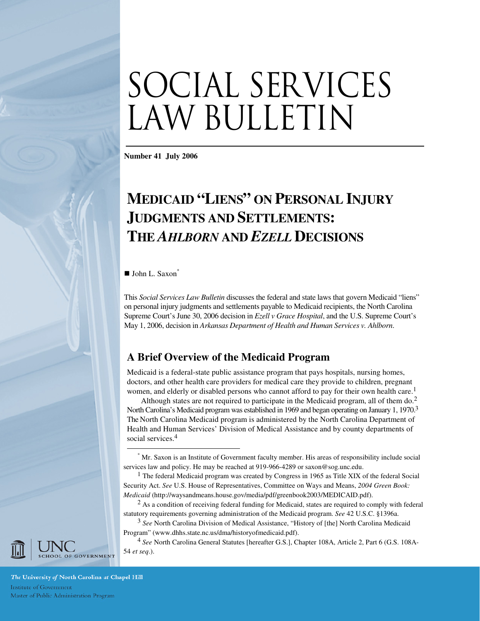# SOCIAL SERVICES LAW BULLETIN

**Number 41 July 2006** 

# **MEDICAID "LIENS" ON PERSONAL INJURY JUDGMENTS AND SETTLEMENTS: THE** *AHLBORN* **AND** *EZELL* **DECISIONS**

 $\blacksquare$  John L. Saxon<sup>\*</sup>

 $\overline{a}$ 

This *Social Services Law Bulletin* discusses the federal and state laws that govern Medicaid "liens" on personal injury judgments and settlements payable to Medicaid recipients, the North Carolina Supreme Court's June 30, 2006 decision in *Ezell v Grace Hospital*, and the U.S. Supreme Court's May 1, 2006, decision in *Arkansas Department of Health and Human Services v. Ahlborn*.

# **A Brief Overview of the Medicaid Program**

Medicaid is a federal-state public assistance program that pays hospitals, nursing homes, doctors, and other health care providers for medical care they provide to children, pregnant women, and elderly or disabled persons who cannot afford to pay for their own health care.<sup>1</sup>

Although states are not required to participate in the Medicaid program, all of them do.<sup>2</sup> North Carolina's Medicaid program was established in 1969 and began operating on January 1, 1970.<sup>3</sup> The North Carolina Medicaid program is administered by the North Carolina Department of Health and Human Services' Division of Medical Assistance and by county departments of social services.<sup>4</sup>

<sup>4</sup> *See* North Carolina General Statutes [hereafter G.S.], Chapter 108A, Article 2, Part 6 (G.S. 108A-54 *et seq*.).



The University of North Carolina at Chapel Hill Institute of Government Master of Public Administration Program

<sup>\*</sup> Mr. Saxon is an Institute of Government faculty member. His areas of responsibility include social services law and policy. He may be reached at 919-966-4289 or saxon@sog.unc.edu.

<sup>&</sup>lt;sup>1</sup> The federal Medicaid program was created by Congress in 1965 as Title XIX of the federal Social Security Act. *See* U.S. House of Representatives, Committee on Ways and Means, *2004 Green Book: Medicaid* (http://waysandmeans.house.gov/media/pdf/greenbook2003/MEDICAID.pdf).

<sup>&</sup>lt;sup>2</sup> As a condition of receiving federal funding for Medicaid, states are required to comply with federal statutory requirements governing administration of the Medicaid program. *See* 42 U.S.C. §1396a.

<sup>3</sup> *See* North Carolina Division of Medical Assistance, "History of [the] North Carolina Medicaid Program" (www.dhhs.state.nc.us/dma/historyofmedicaid.pdf).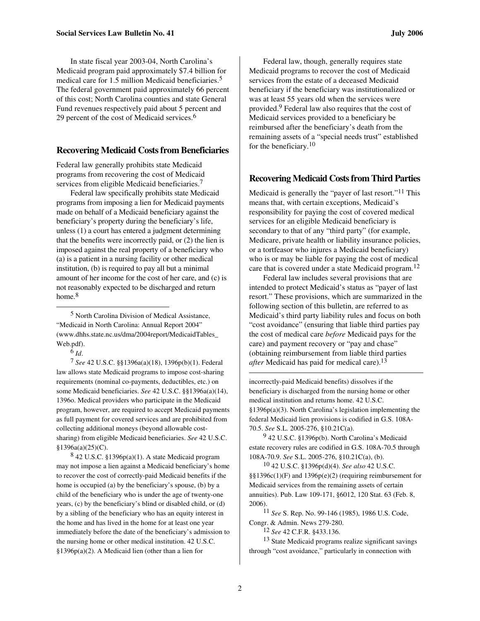In state fiscal year 2003-04, North Carolina's Medicaid program paid approximately \$7.4 billion for medical care for 1.5 million Medicaid beneficiaries. 5 The federal government paid approximately 66 percent of this cost; North Carolina counties and state General Fund revenues respectively paid about 5 percent and 29 percent of the cost of Medicaid services.<sup>6</sup>

# **Recovering Medicaid Costs from Beneficiaries**

Federal law generally prohibits state Medicaid programs from recovering the cost of Medicaid services from eligible Medicaid beneficiaries.<sup>7</sup>

Federal law specifically prohibits state Medicaid programs from imposing a lien for Medicaid payments made on behalf of a Medicaid beneficiary against the beneficiary's property during the beneficiary's life, unless (1) a court has entered a judgment determining that the benefits were incorrectly paid, or (2) the lien is imposed against the real property of a beneficiary who (a) is a patient in a nursing facility or other medical institution, (b) is required to pay all but a minimal amount of her income for the cost of her care, and (c) is not reasonably expected to be discharged and return home.<sup>8</sup>

5 North Carolina Division of Medical Assistance, "Medicaid in North Carolina: Annual Report 2004" (www.dhhs.state.nc.us/dma/2004report/MedicaidTables\_ Web.pdf).

6 *Id*.

l

7 *See* 42 U.S.C. §§1396a(a)(18), 1396p(b)(1). Federal law allows state Medicaid programs to impose cost-sharing requirements (nominal co-payments, deductibles, etc.) on some Medicaid beneficiaries. *See* 42 U.S.C. §§1396a(a)(14), 1396o. Medical providers who participate in the Medicaid program, however, are required to accept Medicaid payments as full payment for covered services and are prohibited from collecting additional moneys (beyond allowable costsharing) from eligible Medicaid beneficiaries. *See* 42 U.S.C. §1396a(a)(25)(C).

8 42 U.S.C. §1396p(a)(1). A state Medicaid program may not impose a lien against a Medicaid beneficiary's home to recover the cost of correctly-paid Medicaid benefits if the home is occupied (a) by the beneficiary's spouse, (b) by a child of the beneficiary who is under the age of twenty-one years, (c) by the beneficiary's blind or disabled child, or (d) by a sibling of the beneficiary who has an equity interest in the home and has lived in the home for at least one year immediately before the date of the beneficiary's admission to the nursing home or other medical institution. 42 U.S.C. §1396p(a)(2). A Medicaid lien (other than a lien for

Federal law, though, generally requires state Medicaid programs to recover the cost of Medicaid services from the estate of a deceased Medicaid beneficiary if the beneficiary was institutionalized or was at least 55 years old when the services were provided.9 Federal law also requires that the cost of Medicaid services provided to a beneficiary be reimbursed after the beneficiary's death from the remaining assets of a "special needs trust" established for the beneficiary.<sup>10</sup>

### **Recovering Medicaid Costs from Third Parties**

Medicaid is generally the "payer of last resort."11 This means that, with certain exceptions, Medicaid's responsibility for paying the cost of covered medical services for an eligible Medicaid beneficiary is secondary to that of any "third party" (for example, Medicare, private health or liability insurance policies, or a tortfeasor who injures a Medicaid beneficiary) who is or may be liable for paying the cost of medical care that is covered under a state Medicaid program. 12

Federal law includes several provisions that are intended to protect Medicaid's status as "payer of last resort." These provisions, which are summarized in the following section of this bulletin, are referred to as Medicaid's third party liability rules and focus on both "cost avoidance" (ensuring that liable third parties pay the cost of medical care *before* Medicaid pays for the care) and payment recovery or "pay and chase" (obtaining reimbursement from liable third parties *after* Medicaid has paid for medical care).<sup>13</sup>

incorrectly-paid Medicaid benefits) dissolves if the beneficiary is discharged from the nursing home or other medical institution and returns home. 42 U.S.C. §1396p(a)(3). North Carolina's legislation implementing the federal Medicaid lien provisions is codified in G.S. 108A-70.5. *See* S.L. 2005-276, §10.21C(a).

9 42 U.S.C. §1396p(b). North Carolina's Medicaid estate recovery rules are codified in G.S. 108A-70.5 through 108A-70.9. *See* S.L. 2005-276, §10.21C(a), (b).

10 42 U.S.C. §1396p(d)(4). *See also* 42 U.S.C. §§1396c(1)(F) and 1396p(e)(2) (requiring reimbursement for Medicaid services from the remaining assets of certain annuities). Pub. Law 109-171, §6012, 120 Stat. 63 (Feb. 8, 2006).

11 *See* S. Rep. No. 99-146 (1985), 1986 U.S. Code, Congr. & Admin. News 279-280.

12 *See* 42 C.F.R. §433.136.

13 State Medicaid programs realize significant savings through "cost avoidance," particularly in connection with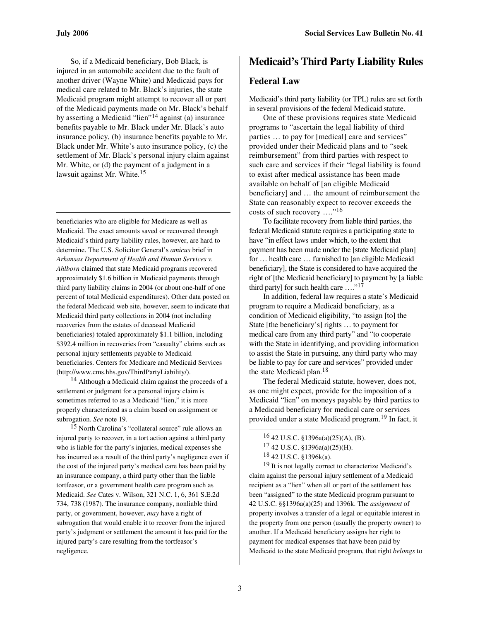$\overline{a}$ 

So, if a Medicaid beneficiary, Bob Black, is injured in an automobile accident due to the fault of another driver (Wayne White) and Medicaid pays for medical care related to Mr. Black's injuries, the state Medicaid program might attempt to recover all or part of the Medicaid payments made on Mr. Black's behalf by asserting a Medicaid "lien"<sup>14</sup> against (a) insurance benefits payable to Mr. Black under Mr. Black's auto insurance policy, (b) insurance benefits payable to Mr. Black under Mr. White's auto insurance policy, (c) the settlement of Mr. Black's personal injury claim against Mr. White, or (d) the payment of a judgment in a lawsuit against Mr. White.<sup>15</sup>

beneficiaries who are eligible for Medicare as well as Medicaid. The exact amounts saved or recovered through Medicaid's third party liability rules, however, are hard to determine. The U.S. Solicitor General's *amicus* brief in *Arkansas Department of Health and Human Services v. Ahlborn* claimed that state Medicaid programs recovered approximately \$1.6 billion in Medicaid payments through third party liability claims in 2004 (or about one-half of one percent of total Medicaid expenditures). Other data posted on the federal Medicaid web site, however, seem to indicate that Medicaid third party collections in 2004 (not including recoveries from the estates of deceased Medicaid beneficiaries) totaled approximately \$1.1 billion, including \$392.4 million in recoveries from "casualty" claims such as personal injury settlements payable to Medicaid beneficiaries. Centers for Medicare and Medicaid Services (http://www.cms.hhs.gov/ThirdPartyLiability/).

14 Although a Medicaid claim against the proceeds of a settlement or judgment for a personal injury claim is sometimes referred to as a Medicaid "lien," it is more properly characterized as a claim based on assignment or subrogation. *See* note 19.

15 North Carolina's "collateral source" rule allows an injured party to recover, in a tort action against a third party who is liable for the party's injuries, medical expenses she has incurred as a result of the third party's negligence even if the cost of the injured party's medical care has been paid by an insurance company, a third party other than the liable tortfeasor, or a government health care program such as Medicaid. *See* Cates v. Wilson, 321 N.C. 1, 6, 361 S.E.2d 734, 738 (1987). The insurance company, nonliable third party, or government, however, *may* have a right of subrogation that would enable it to recover from the injured party's judgment or settlement the amount it has paid for the injured party's care resulting from the tortfeasor's negligence.

# **Medicaid's Third Party Liability Rules**

#### **Federal Law**

Medicaid's third party liability (or TPL) rules are set forth in several provisions of the federal Medicaid statute.

One of these provisions requires state Medicaid programs to "ascertain the legal liability of third parties … to pay for [medical] care and services" provided under their Medicaid plans and to "seek reimbursement" from third parties with respect to such care and services if their "legal liability is found to exist after medical assistance has been made available on behalf of [an eligible Medicaid beneficiary] and … the amount of reimbursement the State can reasonably expect to recover exceeds the costs of such recovery …."<sup>16</sup>

To facilitate recovery from liable third parties, the federal Medicaid statute requires a participating state to have "in effect laws under which, to the extent that payment has been made under the [state Medicaid plan] for … health care … furnished to [an eligible Medicaid beneficiary], the State is considered to have acquired the right of [the Medicaid beneficiary] to payment by [a liable third party] for such health care …."<sup>17</sup>

In addition, federal law requires a state's Medicaid program to require a Medicaid beneficiary, as a condition of Medicaid eligibility, "to assign [to] the State [the beneficiary's] rights … to payment for medical care from any third party" and "to cooperate with the State in identifying, and providing information to assist the State in pursuing, any third party who may be liable to pay for care and services" provided under the state Medicaid plan.<sup>18</sup>

The federal Medicaid statute, however, does not, as one might expect, provide for the imposition of a Medicaid "lien" on moneys payable by third parties to a Medicaid beneficiary for medical care or services provided under a state Medicaid program.19 In fact, it

<sup>19</sup> It is not legally correct to characterize Medicaid's claim against the personal injury settlement of a Medicaid recipient as a "lien" when all or part of the settlement has been "assigned" to the state Medicaid program pursuant to 42 U.S.C. §§1396a(a)(25) and 1396k. The *assignment* of property involves a transfer of a legal or equitable interest in the property from one person (usually the property owner) to another. If a Medicaid beneficiary assigns her right to payment for medical expenses that have been paid by Medicaid to the state Medicaid program, that right *belongs* to

 $16$  42 U.S.C. §1396a(a)(25)(A), (B).

<sup>17</sup> 42 U.S.C. §1396a(a)(25)(H).

<sup>18</sup> 42 U.S.C. §1396k(a).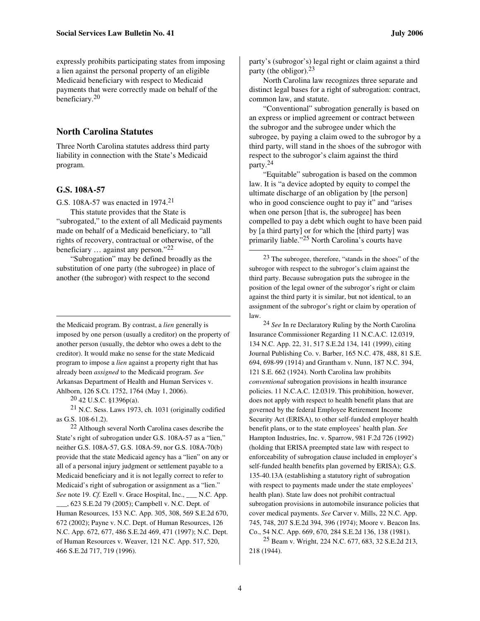expressly prohibits participating states from imposing a lien against the personal property of an eligible Medicaid beneficiary with respect to Medicaid payments that were correctly made on behalf of the beneficiary.<sup>20</sup>

# **North Carolina Statutes**

Three North Carolina statutes address third party liability in connection with the State's Medicaid program.

#### **G.S. 108A-57**

 $\overline{a}$ 

G.S. 108A-57 was enacted in 1974.<sup>21</sup>

This statute provides that the State is "subrogated," to the extent of all Medicaid payments made on behalf of a Medicaid beneficiary, to "all rights of recovery, contractual or otherwise, of the beneficiary … against any person."<sup>22</sup>

"Subrogation" may be defined broadly as the substitution of one party (the subrogee) in place of another (the subrogor) with respect to the second

the Medicaid program. By contrast, a *lien* generally is imposed by one person (usually a creditor) on the property of another person (usually, the debtor who owes a debt to the creditor). It would make no sense for the state Medicaid program to impose a *lien* against a property right that has already been *assigned* to the Medicaid program. *See*  Arkansas Department of Health and Human Services v. Ahlborn, 126 S.Ct. 1752, 1764 (May 1, 2006).

 $20$  42 U.S.C. §1396p(a).

21 N.C. Sess. Laws 1973, ch. 1031 (originally codified as G.S. 108-61.2).

 $22$  Although several North Carolina cases describe the State's right of subrogation under G.S. 108A-57 as a "lien," neither G.S. 108A-57, G.S. 108A-59, nor G.S. 108A-70(b) provide that the state Medicaid agency has a "lien" on any or all of a personal injury judgment or settlement payable to a Medicaid beneficiary and it is not legally correct to refer to Medicaid's right of subrogation or assignment as a "lien." *See* note 19. *Cf.* Ezell v. Grace Hospital, Inc., \_\_\_ N.C. App. \_\_\_, 623 S.E.2d 79 (2005); Campbell v. N.C. Dept. of Human Resources, 153 N.C. App. 305, 308, 569 S.E.2d 670, 672 (2002); Payne v. N.C. Dept. of Human Resources, 126 N.C. App. 672, 677, 486 S.E.2d 469, 471 (1997); N.C. Dept. of Human Resources v. Weaver, 121 N.C. App. 517, 520, 466 S.E.2d 717, 719 (1996).

party's (subrogor's) legal right or claim against a third party (the obligor).<sup>23</sup>

North Carolina law recognizes three separate and distinct legal bases for a right of subrogation: contract, common law, and statute.

"Conventional" subrogation generally is based on an express or implied agreement or contract between the subrogor and the subrogee under which the subrogee, by paying a claim owed to the subrogor by a third party, will stand in the shoes of the subrogor with respect to the subrogor's claim against the third party.<sup>24</sup>

"Equitable" subrogation is based on the common law. It is "a device adopted by equity to compel the ultimate discharge of an obligation by [the person] who in good conscience ought to pay it" and "arises" when one person [that is, the subrogee] has been compelled to pay a debt which ought to have been paid by [a third party] or for which the [third party] was primarily liable."25 North Carolina's courts have

23 The subrogee, therefore, "stands in the shoes" of the subrogor with respect to the subrogor's claim against the third party. Because subrogation puts the subrogee in the position of the legal owner of the subrogor's right or claim against the third party it is similar, but not identical, to an assignment of the subrogor's right or claim by operation of law.

24 *See* In re Declaratory Ruling by the North Carolina Insurance Commissioner Regarding 11 N.C.A.C. 12.0319, 134 N.C. App. 22, 31, 517 S.E.2d 134, 141 (1999), citing Journal Publishing Co. v. Barber, 165 N.C. 478, 488, 81 S.E. 694, 698-99 (1914) and Grantham v. Nunn, 187 N.C. 394, 121 S.E. 662 (1924). North Carolina law prohibits *conventional* subrogation provisions in health insurance policies. 11 N.C.A.C. 12.0319. This prohibition, however, does not apply with respect to health benefit plans that are governed by the federal Employee Retirement Income Security Act (ERISA), to other self-funded employer health benefit plans, or to the state employees' health plan. *See*  Hampton Industries, Inc. v. Sparrow, 981 F.2d 726 (1992) (holding that ERISA preempted state law with respect to enforceability of subrogation clause included in employer's self-funded health benefits plan governed by ERISA); G.S. 135-40.13A (establishing a statutory right of subrogation with respect to payments made under the state employees' health plan). State law does not prohibit contractual subrogation provisions in automobile insurance policies that cover medical payments. *See* Carver v. Mills, 22 N.C. App. 745, 748, 207 S.E.2d 394, 396 (1974); Moore v. Beacon Ins. Co., 54 N.C. App. 669, 670, 284 S.E.2d 136, 138 (1981).

25 Beam v. Wright, 224 N.C. 677, 683, 32 S.E.2d 213, 218 (1944).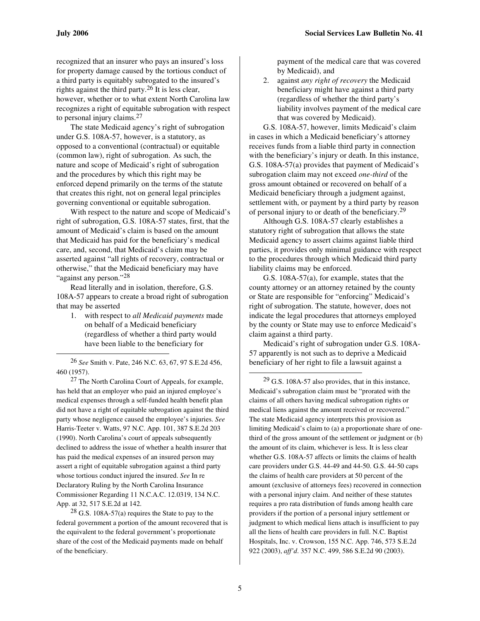l

recognized that an insurer who pays an insured's loss for property damage caused by the tortious conduct of a third party is equitably subrogated to the insured's rights against the third party.<sup>26</sup> It is less clear, however, whether or to what extent North Carolina law recognizes a right of equitable subrogation with respect to personal injury claims.<sup>27</sup>

The state Medicaid agency's right of subrogation under G.S. 108A-57, however, is a statutory, as opposed to a conventional (contractual) or equitable (common law), right of subrogation. As such, the nature and scope of Medicaid's right of subrogation and the procedures by which this right may be enforced depend primarily on the terms of the statute that creates this right, not on general legal principles governing conventional or equitable subrogation.

With respect to the nature and scope of Medicaid's right of subrogation, G.S. 108A-57 states, first, that the amount of Medicaid's claim is based on the amount that Medicaid has paid for the beneficiary's medical care, and, second, that Medicaid's claim may be asserted against "all rights of recovery, contractual or otherwise," that the Medicaid beneficiary may have "against any person."<sup>28</sup>

Read literally and in isolation, therefore, G.S. 108A-57 appears to create a broad right of subrogation that may be asserted

1. with respect to *all Medicaid payments* made on behalf of a Medicaid beneficiary (regardless of whether a third party would have been liable to the beneficiary for

26 *See* Smith v. Pate, 246 N.C. 63, 67, 97 S.E.2d 456, 460 (1957).

27 The North Carolina Court of Appeals, for example, has held that an employer who paid an injured employee's medical expenses through a self-funded health benefit plan did not have a right of equitable subrogation against the third party whose negligence caused the employee's injuries. *See*  Harris-Teeter v. Watts, 97 N.C. App. 101, 387 S.E.2d 203 (1990). North Carolina's court of appeals subsequently declined to address the issue of whether a health insurer that has paid the medical expenses of an insured person may assert a right of equitable subrogation against a third party whose tortious conduct injured the insured. *See* In re Declaratory Ruling by the North Carolina Insurance Commissioner Regarding 11 N.C.A.C. 12.0319, 134 N.C. App. at 32, 517 S.E.2d at 142.

 $28$  G.S. 108A-57(a) requires the State to pay to the federal government a portion of the amount recovered that is the equivalent to the federal government's proportionate share of the cost of the Medicaid payments made on behalf of the beneficiary.

payment of the medical care that was covered by Medicaid), and

2. against *any right of recovery* the Medicaid beneficiary might have against a third party (regardless of whether the third party's liability involves payment of the medical care that was covered by Medicaid).

G.S. 108A-57, however, limits Medicaid's claim in cases in which a Medicaid beneficiary's attorney receives funds from a liable third party in connection with the beneficiary's injury or death. In this instance, G.S. 108A-57(a) provides that payment of Medicaid's subrogation claim may not exceed *one-third* of the gross amount obtained or recovered on behalf of a Medicaid beneficiary through a judgment against, settlement with, or payment by a third party by reason of personal injury to or death of the beneficiary.<sup>29</sup>

Although G.S. 108A-57 clearly establishes a statutory right of subrogation that allows the state Medicaid agency to assert claims against liable third parties, it provides only minimal guidance with respect to the procedures through which Medicaid third party liability claims may be enforced.

G.S. 108A-57(a), for example, states that the county attorney or an attorney retained by the county or State are responsible for "enforcing" Medicaid's right of subrogation. The statute, however, does not indicate the legal procedures that attorneys employed by the county or State may use to enforce Medicaid's claim against a third party.

Medicaid's right of subrogation under G.S. 108A-57 apparently is not such as to deprive a Medicaid beneficiary of her right to file a lawsuit against a

 $29$  G.S. 108A-57 also provides, that in this instance, Medicaid's subrogation claim must be "prorated with the claims of all others having medical subrogation rights or medical liens against the amount received or recovered." The state Medicaid agency interprets this provision as limiting Medicaid's claim to (a) a proportionate share of onethird of the gross amount of the settlement or judgment or (b) the amount of its claim, whichever is less. It is less clear whether G.S. 108A-57 affects or limits the claims of health care providers under G.S. 44-49 and 44-50. G.S. 44-50 caps the claims of health care providers at 50 percent of the amount (exclusive of attorneys fees) recovered in connection with a personal injury claim. And neither of these statutes requires a pro rata distribution of funds among health care providers if the portion of a personal injury settlement or judgment to which medical liens attach is insufficient to pay all the liens of health care providers in full. N.C. Baptist Hospitals, Inc. v. Crowson, 155 N.C. App. 746, 573 S.E.2d 922 (2003), *aff'd*. 357 N.C. 499, 586 S.E.2d 90 (2003).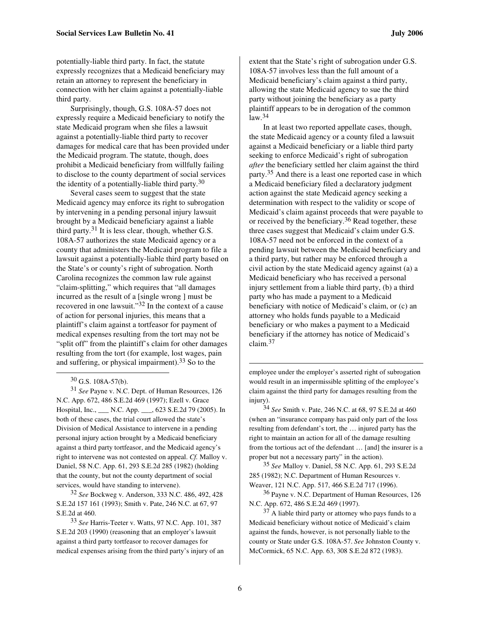potentially-liable third party. In fact, the statute expressly recognizes that a Medicaid beneficiary may retain an attorney to represent the beneficiary in connection with her claim against a potentially-liable third party.

Surprisingly, though, G.S. 108A-57 does not expressly require a Medicaid beneficiary to notify the state Medicaid program when she files a lawsuit against a potentially-liable third party to recover damages for medical care that has been provided under the Medicaid program. The statute, though, does prohibit a Medicaid beneficiary from willfully failing to disclose to the county department of social services the identity of a potentially-liable third party.<sup>30</sup>

Several cases seem to suggest that the state Medicaid agency may enforce its right to subrogation by intervening in a pending personal injury lawsuit brought by a Medicaid beneficiary against a liable third party.<sup>31</sup> It is less clear, though, whether G.S. 108A-57 authorizes the state Medicaid agency or a county that administers the Medicaid program to file a lawsuit against a potentially-liable third party based on the State's or county's right of subrogation. North Carolina recognizes the common law rule against "claim-splitting," which requires that "all damages incurred as the result of a [single wrong ] must be recovered in one lawsuit."32 In the context of a cause of action for personal injuries, this means that a plaintiff's claim against a tortfeasor for payment of medical expenses resulting from the tort may not be "split off" from the plaintiff's claim for other damages resulting from the tort (for example, lost wages, pain and suffering, or physical impairment).33 So to the

 $\overline{a}$ 

31 *See* Payne v. N.C. Dept. of Human Resources, 126 N.C. App. 672, 486 S.E.2d 469 (1997); Ezell v. Grace Hospital, Inc., \_\_\_ N.C. App. \_\_\_, 623 S.E.2d 79 (2005). In both of these cases, the trial court allowed the state's Division of Medical Assistance to intervene in a pending personal injury action brought by a Medicaid beneficiary against a third party tortfeasor, and the Medicaid agency's right to intervene was not contested on appeal. *Cf.* Malloy v. Daniel, 58 N.C. App. 61, 293 S.E.2d 285 (1982) (holding that the county, but not the county department of social services, would have standing to intervene).

32 *See* Bockweg v. Anderson, 333 N.C. 486, 492, 428 S.E.2d 157 161 (1993); Smith v. Pate, 246 N.C. at 67, 97 S.E.2d at 460.

33 *See* Harris-Teeter v. Watts, 97 N.C. App. 101, 387 S.E.2d 203 (1990) (reasoning that an employer's lawsuit against a third party tortfeasor to recover damages for medical expenses arising from the third party's injury of an extent that the State's right of subrogation under G.S. 108A-57 involves less than the full amount of a Medicaid beneficiary's claim against a third party, allowing the state Medicaid agency to sue the third party without joining the beneficiary as a party plaintiff appears to be in derogation of the common  $law.<sup>34</sup>$ 

In at least two reported appellate cases, though, the state Medicaid agency or a county filed a lawsuit against a Medicaid beneficiary or a liable third party seeking to enforce Medicaid's right of subrogation *after* the beneficiary settled her claim against the third party.35 And there is a least one reported case in which a Medicaid beneficiary filed a declaratory judgment action against the state Medicaid agency seeking a determination with respect to the validity or scope of Medicaid's claim against proceeds that were payable to or received by the beneficiary.36 Read together, these three cases suggest that Medicaid's claim under G.S. 108A-57 need not be enforced in the context of a pending lawsuit between the Medicaid beneficiary and a third party, but rather may be enforced through a civil action by the state Medicaid agency against (a) a Medicaid beneficiary who has received a personal injury settlement from a liable third party, (b) a third party who has made a payment to a Medicaid beneficiary with notice of Medicaid's claim, or (c) an attorney who holds funds payable to a Medicaid beneficiary or who makes a payment to a Medicaid beneficiary if the attorney has notice of Medicaid's claim.<sup>37</sup>

employee under the employer's asserted right of subrogation would result in an impermissible splitting of the employee's claim against the third party for damages resulting from the injury).

34 *See* Smith v. Pate, 246 N.C. at 68, 97 S.E.2d at 460 (when an "insurance company has paid only part of the loss resulting from defendant's tort, the … injured party has the right to maintain an action for all of the damage resulting from the tortious act of the defendant … [and] the insurer is a proper but not a necessary party" in the action).

35 *See* Malloy v. Daniel, 58 N.C. App. 61, 293 S.E.2d 285 (1982); N.C. Department of Human Resources v. Weaver, 121 N.C. App. 517, 466 S.E.2d 717 (1996).

36 Payne v. N.C. Department of Human Resources, 126 N.C. App. 672, 486 S.E.2d 469 (1997).

37 A liable third party or attorney who pays funds to a Medicaid beneficiary without notice of Medicaid's claim against the funds, however, is not personally liable to the county or State under G.S. 108A-57. *See* Johnston County v. McCormick, 65 N.C. App. 63, 308 S.E.2d 872 (1983).

 $30$  G.S. 108A-57(b).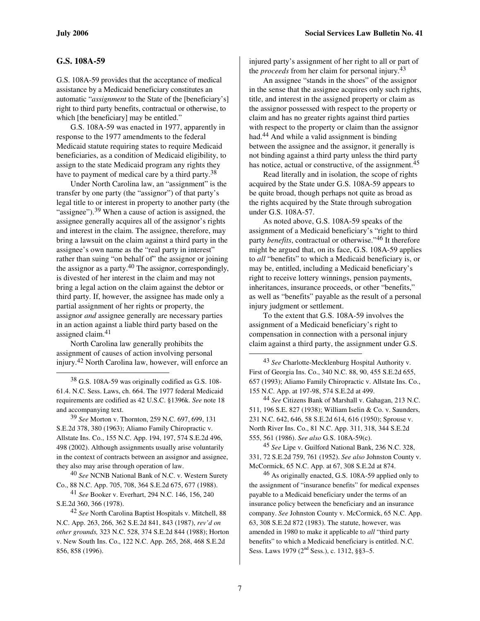l

#### **G.S. 108A-59**

G.S. 108A-59 provides that the acceptance of medical assistance by a Medicaid beneficiary constitutes an automatic "*assignment* to the State of the [beneficiary's] right to third party benefits, contractual or otherwise, to which [the beneficiary] may be entitled."

G.S. 108A-59 was enacted in 1977, apparently in response to the 1977 amendments to the federal Medicaid statute requiring states to require Medicaid beneficiaries, as a condition of Medicaid eligibility, to assign to the state Medicaid program any rights they have to payment of medical care by a third party.<sup>38</sup>

Under North Carolina law, an "assignment" is the transfer by one party (the "assignor") of that party's legal title to or interest in property to another party (the "assignee").<sup>39</sup> When a cause of action is assigned, the assignee generally acquires all of the assignor's rights and interest in the claim. The assignee, therefore, may bring a lawsuit on the claim against a third party in the assignee's own name as the "real party in interest" rather than suing "on behalf of" the assignor or joining the assignor as a party.40 The assignor, correspondingly, is divested of her interest in the claim and may not bring a legal action on the claim against the debtor or third party. If, however, the assignee has made only a partial assignment of her rights or property, the assignor *and* assignee generally are necessary parties in an action against a liable third party based on the assigned claim.<sup>41</sup>

North Carolina law generally prohibits the assignment of causes of action involving personal injury.42 North Carolina law, however, will enforce an

38 G.S. 108A-59 was originally codified as G.S. 108- 61.4. N.C. Sess. Laws, ch. 664. The 1977 federal Medicaid requirements are codified as 42 U.S.C. §1396k. *See* note 18 and accompanying text.

39 *See* Morton v. Thornton, 259 N.C. 697, 699, 131 S.E.2d 378, 380 (1963); Aliamo Family Chiropractic v. Allstate Ins. Co., 155 N.C. App. 194, 197, 574 S.E.2d 496, 498 (2002). Although assignments usually arise voluntarily in the context of contracts between an assignor and assignee, they also may arise through operation of law.

40 *See* NCNB National Bank of N.C. v. Western Surety Co., 88 N.C. App. 705, 708, 364 S.E.2d 675, 677 (1988).

41 *See* Booker v. Everhart, 294 N.C. 146, 156, 240 S.E.2d 360, 366 (1978).

42 *See* North Carolina Baptist Hospitals v. Mitchell, 88 N.C. App. 263, 266, 362 S.E.2d 841, 843 (1987), *rev'd on other grounds,* 323 N.C. 528, 374 S.E.2d 844 (1988); Horton v. New South Ins. Co., 122 N.C. App. 265, 268, 468 S.E.2d 856, 858 (1996).

injured party's assignment of her right to all or part of the *proceeds* from her claim for personal injury.<sup>43</sup>

An assignee "stands in the shoes" of the assignor in the sense that the assignee acquires only such rights, title, and interest in the assigned property or claim as the assignor possessed with respect to the property or claim and has no greater rights against third parties with respect to the property or claim than the assignor had.44 And while a valid assignment is binding between the assignee and the assignor, it generally is not binding against a third party unless the third party has notice, actual or constructive, of the assignment.<sup>45</sup>

Read literally and in isolation, the scope of rights acquired by the State under G.S. 108A-59 appears to be quite broad, though perhaps not quite as broad as the rights acquired by the State through subrogation under G.S. 108A-57.

As noted above, G.S. 108A-59 speaks of the assignment of a Medicaid beneficiary's "right to third party *benefits*, contractual or otherwise."46 It therefore might be argued that, on its face, G.S. 108A-59 applies to *all* "benefits" to which a Medicaid beneficiary is, or may be, entitled, including a Medicaid beneficiary's right to receive lottery winnings, pension payments, inheritances, insurance proceeds, or other "benefits," as well as "benefits" payable as the result of a personal injury judgment or settlement.

To the extent that G.S. 108A-59 involves the assignment of a Medicaid beneficiary's right to compensation in connection with a personal injury claim against a third party, the assignment under G.S.

44 *See* Citizens Bank of Marshall v. Gahagan, 213 N.C. 511, 196 S.E. 827 (1938); William Iselin & Co. v. Saunders, 231 N.C. 642, 646, 58 S.E.2d 614, 616 (1950); Sprouse v. North River Ins. Co., 81 N.C. App. 311, 318, 344 S.E.2d 555, 561 (1986). *See also* G.S. 108A-59(c).

45 *See* Lipe v. Guilford National Bank, 236 N.C. 328, 331, 72 S.E.2d 759, 761 (1952). *See also* Johnston County v. McCormick, 65 N.C. App. at 67, 308 S.E.2d at 874.

 $46$  As originally enacted, G.S. 108A-59 applied only to the assignment of "insurance benefits" for medical expenses payable to a Medicaid beneficiary under the terms of an insurance policy between the beneficiary and an insurance company. *See* Johnston County v. McCormick, 65 N.C. App. 63, 308 S.E.2d 872 (1983). The statute, however, was amended in 1980 to make it applicable to *all* "third party benefits" to which a Medicaid beneficiary is entitled. N.C. Sess. Laws 1979 (2<sup>nd</sup> Sess.), c. 1312, §§3–5.

<sup>43</sup> *See* Charlotte-Mecklenburg Hospital Authority v. First of Georgia Ins. Co., 340 N.C. 88, 90, 455 S.E.2d 655, 657 (1993); Aliamo Family Chiropractic v. Allstate Ins. Co., 155 N.C. App. at 197-98, 574 S.E.2d at 499.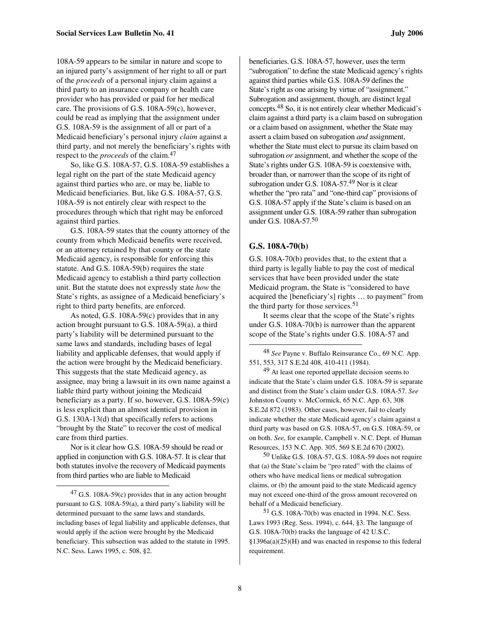108A-59 appears to be similar in nature and scope to an injured party's assignment of her right to all or part of the *proceeds* of a personal injury claim against a third party to an insurance company or health care provider who has provided or paid for her medical care. The provisions of G.S. 108A-59(c), however, could be read as implying that the assignment under G.S. 108A-59 is the assignment of all or part of a Medicaid beneficiary's personal injury *claim* against a third party, and not merely the beneficiary's rights with respect to the *proceeds* of the claim.<sup>47</sup>

So, like G.S. 108A-57, G.S. 108A-59 establishes a legal right on the part of the state Medicaid agency against third parties who are, or may be, liable to Medicaid beneficiaries. But, like G.S. 108A-57, G.S. 108A-59 is not entirely clear with respect to the procedures through which that right may be enforced against third parties.

G.S. 108A-59 states that the county attorney of the county from which Medicaid benefits were received, or an attorney retained by that county or the state Medicaid agency, is responsible for enforcing this statute. And G.S. 108A-59(b) requires the state Medicaid agency to establish a third party collection unit. But the statute does not expressly state *how* the State's rights, as assignee of a Medicaid beneficiary's right to third party benefits, are enforced.

As noted, G.S. 108A-59(c) provides that in any action brought pursuant to G.S. 108A-59(a), a third party's liability will be determined pursuant to the same laws and standards, including bases of legal liability and applicable defenses, that would apply if the action were brought by the Medicaid beneficiary. This suggests that the state Medicaid agency, as assignee, may bring a lawsuit in its own name against a liable third party without joining the Medicaid beneficiary as a party. If so, however, G.S. 108A-59(c) is less explicit than an almost identical provision in G.S. 130A-13(d) that specifically refers to actions "brought by the State" to recover the cost of medical care from third parties.

Nor is it clear how G.S. 108A-59 should be read or applied in conjunction with G.S. 108A-57. It is clear that both statutes involve the recovery of Medicaid payments from third parties who are liable to Medicaid

 $\overline{a}$ 

beneficiaries. G.S. 108A-57, however, uses the term "subrogation" to define the state Medicaid agency's rights against third parties while G.S. 108A-59 defines the State's right as one arising by virtue of "assignment." Subrogation and assignment, though, are distinct legal concepts.48 So, it is not entirely clear whether Medicaid's claim against a third party is a claim based on subrogation or a claim based on assignment, whether the State may assert a claim based on subrogation *and* assignment, whether the State must elect to pursue its claim based on subrogation *or* assignment, and whether the scope of the State's rights under G.S. 108A-59 is coextensive with, broader than, or narrower than the scope of its right of subrogation under G.S. 108A-57.<sup>49</sup> Nor is it clear whether the "pro rata" and "one-third cap" provisions of G.S. 108A-57 apply if the State's claim is based on an assignment under G.S. 108A-59 rather than subrogation under G.S. 108A-57.<sup>50</sup>

#### **G.S. 108A-70(b)**

1

G.S. 108A-70(b) provides that, to the extent that a third party is legally liable to pay the cost of medical services that have been provided under the state Medicaid program, the State is "considered to have acquired the [beneficiary's] rights … to payment" from the third party for those services.<sup>51</sup>

It seems clear that the scope of the State's rights under G.S. 108A-70(b) is narrower than the apparent scope of the State's rights under G.S. 108A-57 and

48 *See* Payne v. Buffalo Reinsurance Co., 69 N.C. App. 551, 553, 317 S.E.2d 408, 410-411 (1984).

49 At least one reported appellate decision seems to indicate that the State's claim under G.S. 108A-59 is separate and distinct from the State's claim under G.S. 108A-57. *See*  Johnston County v. McCormick, 65 N.C. App. 63, 308 S.E.2d 872 (1983). Other cases, however, fail to clearly indicate whether the state Medicaid agency's claim against a third party was based on G.S. 108A-57, on G.S. 108A-59, or on both. *See*, for example, Campbell v. N.C. Dept. of Human Resources, 153 N.C. App. 305, 569 S.E.2d 670 (2002).

50 Unlike G.S. 108A-57, G.S. 108A-59 does not require that (a) the State's claim be "pro rated" with the claims of others who have medical liens or medical subrogation claims, or (b) the amount paid to the state Medicaid agency may not exceed one-third of the gross amount recovered on behalf of a Medicaid beneficiary.

51 G.S. 108A-70(b) was enacted in 1994. N.C. Sess. Laws 1993 (Reg. Sess. 1994), c. 644, §3. The language of G.S. 108A-70(b) tracks the language of 42 U.S.C. §1396a(a)(25)(H) and was enacted in response to this federal requirement.

 $^{47}$  G.S. 108A-59(c) provides that in any action brought pursuant to G.S. 108A-59(a), a third party's liability will be determined pursuant to the same laws and standards, including bases of legal liability and applicable defenses, that would apply if the action were brought by the Medicaid beneficiary. This subsection was added to the statute in 1995. N.C. Sess. Laws 1995, c. 508, §2.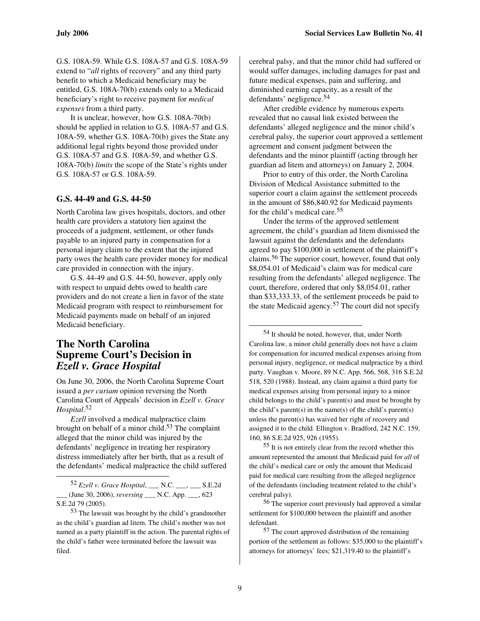G.S. 108A-59. While G.S. 108A-57 and G.S. 108A-59 extend to "*all* rights of recovery" and any third party benefit to which a Medicaid beneficiary may be entitled, G.S. 108A-70(b) extends only to a Medicaid beneficiary's right to receive payment for *medical expenses* from a third party.

It is unclear, however, how G.S. 108A-70(b) should be applied in relation to G.S. 108A-57 and G.S. 108A-59, whether G.S. 108A-70(b) gives the State any additional legal rights beyond those provided under G.S. 108A-57 and G.S. 108A-59, and whether G.S. 108A-70(b) *limits* the scope of the State's rights under G.S. 108A-57 or G.S. 108A-59.

#### **G.S. 44-49 and G.S. 44-50**

North Carolina law gives hospitals, doctors, and other health care providers a statutory lien against the proceeds of a judgment, settlement, or other funds payable to an injured party in compensation for a personal injury claim to the extent that the injured party owes the health care provider money for medical care provided in connection with the injury.

G.S. 44-49 and G.S. 44-50, however, apply only with respect to unpaid debts owed to health care providers and do not create a lien in favor of the state Medicaid program with respect to reimbursement for Medicaid payments made on behalf of an injured Medicaid beneficiary.

# **The North Carolina Supreme Court's Decision in**  *Ezell v. Grace Hospital*

On June 30, 2006, the North Carolina Supreme Court issued a *per curiam* opinion reversing the North Carolina Court of Appeals' decision in *Ezell v. Grace Hospital*. 52

*Ezell* involved a medical malpractice claim brought on behalf of a minor child.53 The complaint alleged that the minor child was injured by the defendants' negligence in treating her respiratory distress immediately after her birth, that as a result of the defendants' medical malpractice the child suffered

 $\overline{a}$ 

53 The lawsuit was brought by the child's grandmother as the child's guardian ad litem. The child's mother was not named as a party plaintiff in the action. The parental rights of the child's father were terminated before the lawsuit was filed.

cerebral palsy, and that the minor child had suffered or would suffer damages, including damages for past and future medical expenses, pain and suffering, and diminished earning capacity, as a result of the defendants' negligence.<sup>54</sup>

After credible evidence by numerous experts revealed that no causal link existed between the defendants' alleged negligence and the minor child's cerebral palsy, the superior court approved a settlement agreement and consent judgment between the defendants and the minor plaintiff (acting through her guardian ad litem and attorneys) on January 2, 2004.

Prior to entry of this order, the North Carolina Division of Medical Assistance submitted to the superior court a claim against the settlement proceeds in the amount of \$86,840.92 for Medicaid payments for the child's medical care.<sup>55</sup>

Under the terms of the approved settlement agreement, the child's guardian ad litem dismissed the lawsuit against the defendants and the defendants agreed to pay \$100,000 in settlement of the plaintiff's claims.56 The superior court, however, found that only \$8,054.01 of Medicaid's claim was for medical care resulting from the defendants' alleged negligence. The court, therefore, ordered that only \$8,054.01, rather than \$33,333.33, of the settlement proceeds be paid to the state Medicaid agency.57 The court did not specify

54 It should be noted, however, that, under North Carolina law, a minor child generally does not have a claim for compensation for incurred medical expenses arising from personal injury, negligence, or medical malpractice by a third party. Vaughan v. Moore, 89 N.C. App. 566, 568, 316 S.E.2d 518, 520 (1988). Instead, any claim against a third party for medical expenses arising from personal injury to a minor child belongs to the child's parent(s) and must be brought by the child's parent(s) in the name(s) of the child's parent(s) unless the parent(s) has waived her right of recovery and assigned it to the child. Ellington v. Bradford, 242 N.C. 159, 160, 86 S.E.2d 925, 926 (1955).

55 It is not entirely clear from the record whether this amount represented the amount that Medicaid paid for *all* of the child's medical care or only the amount that Medicaid paid for medical care resulting from the alleged negligence of the defendants (including treatment related to the child's cerebral palsy).

56 The superior court previously had approved a similar settlement for \$100,000 between the plaintiff and another defendant.

57 The court approved distribution of the remaining portion of the settlement as follows: \$35,000 to the plaintiff's attorneys for attorneys' fees; \$21,319.40 to the plaintiff's

<sup>52</sup> *Ezell v. Grace Hospital*, \_\_\_ N.C. \_\_\_, \_\_\_ S.E.2d \_\_\_ (June 30, 2006), *reversing* \_\_\_ N.C. App. \_\_\_, 623 S.E.2d 79 (2005).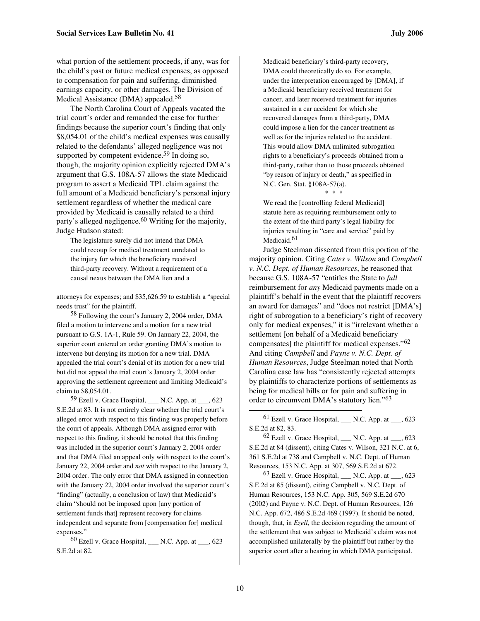what portion of the settlement proceeds, if any, was for the child's past or future medical expenses, as opposed to compensation for pain and suffering, diminished earnings capacity, or other damages. The Division of Medical Assistance (DMA) appealed.<sup>58</sup>

The North Carolina Court of Appeals vacated the trial court's order and remanded the case for further findings because the superior court's finding that only \$8,054.01 of the child's medical expenses was causally related to the defendants' alleged negligence was not supported by competent evidence.<sup>59</sup> In doing so, though, the majority opinion explicitly rejected DMA's argument that G.S. 108A-57 allows the state Medicaid program to assert a Medicaid TPL claim against the full amount of a Medicaid beneficiary's personal injury settlement regardless of whether the medical care provided by Medicaid is causally related to a third party's alleged negligence.<sup>60</sup> Writing for the majority, Judge Hudson stated:

The legislature surely did not intend that DMA could recoup for medical treatment unrelated to the injury for which the beneficiary received third-party recovery. Without a requirement of a causal nexus between the DMA lien and a

1

attorneys for expenses; and \$35,626.59 to establish a "special needs trust" for the plaintiff.

58 Following the court's January 2, 2004 order, DMA filed a motion to intervene and a motion for a new trial pursuant to G.S. 1A-1, Rule 59. On January 22, 2004, the superior court entered an order granting DMA's motion to intervene but denying its motion for a new trial. DMA appealed the trial court's denial of its motion for a new trial but did not appeal the trial court's January 2, 2004 order approving the settlement agreement and limiting Medicaid's claim to \$8,054.01.

 $59$  Ezell v. Grace Hospital, \_\_\_ N.C. App. at \_\_\_, 623 S.E.2d at 83. It is not entirely clear whether the trial court's alleged error with respect to this finding was properly before the court of appeals. Although DMA assigned error with respect to this finding, it should be noted that this finding was included in the superior court's January 2, 2004 order and that DMA filed an appeal only with respect to the court's January 22, 2004 order and *not* with respect to the January 2, 2004 order. The only error that DMA assigned in connection with the January 22, 2004 order involved the superior court's "finding" (actually, a conclusion of law) that Medicaid's claim "should not be imposed upon [any portion of settlement funds that] represent recovery for claims independent and separate from [compensation for] medical expenses."

 $60$  Ezell v. Grace Hospital, \_\_\_ N.C. App. at \_\_\_, 623 S.E.2d at 82.

Medicaid beneficiary's third-party recovery, DMA could theoretically do so. For example, under the interpretation encouraged by [DMA], if a Medicaid beneficiary received treatment for cancer, and later received treatment for injuries sustained in a car accident for which she recovered damages from a third-party, DMA could impose a lien for the cancer treatment as well as for the injuries related to the accident. This would allow DMA unlimited subrogation rights to a beneficiary's proceeds obtained from a third-party, rather than to those proceeds obtained "by reason of injury or death," as specified in N.C. Gen. Stat. §108A-57(a).

\* \* \*

We read the [controlling federal Medicaid] statute here as requiring reimbursement only to the extent of the third party's legal liability for injuries resulting in "care and service" paid by Medicaid.<sup>61</sup>

Judge Steelman dissented from this portion of the majority opinion. Citing *Cates v. Wilson* and *Campbell v. N.C. Dept. of Human Resources*, he reasoned that because G.S. 108A-57 "entitles the State to *full* reimbursement for *any* Medicaid payments made on a plaintiff's behalf in the event that the plaintiff recovers an award for damages" and "does not restrict [DMA's] right of subrogation to a beneficiary's right of recovery only for medical expenses," it is "irrelevant whether a settlement [on behalf of a Medicaid beneficiary compensates] the plaintiff for medical expenses."<sup>62</sup> And citing *Campbell* and *Payne v. N.C. Dept. of Human Resources*, Judge Steelman noted that North Carolina case law has "consistently rejected attempts by plaintiffs to characterize portions of settlements as being for medical bills or for pain and suffering in order to circumvent DMA's statutory lien."<sup>63</sup>

 $61$  Ezell v. Grace Hospital, M.C. App. at  $\qquad$ , 623 S.E.2d at 82, 83.

 $62$  Ezell v. Grace Hospital, M.C. App. at  $\qquad$ , 623 S.E.2d at 84 (dissent), citing Cates v. Wilson, 321 N.C. at 6, 361 S.E.2d at 738 and Campbell v. N.C. Dept. of Human Resources, 153 N.C. App. at 307, 569 S.E.2d at 672.

 $63$  Ezell v. Grace Hospital, N.C. App. at  $\qquad$ , 623 S.E.2d at 85 (dissent), citing Campbell v. N.C. Dept. of Human Resources, 153 N.C. App. 305, 569 S.E.2d 670 (2002) and Payne v. N.C. Dept. of Human Resources, 126 N.C. App. 672, 486 S.E.2d 469 (1997). It should be noted, though, that, in *Ezell*, the decision regarding the amount of the settlement that was subject to Medicaid's claim was not accomplished unilaterally by the plaintiff but rather by the superior court after a hearing in which DMA participated.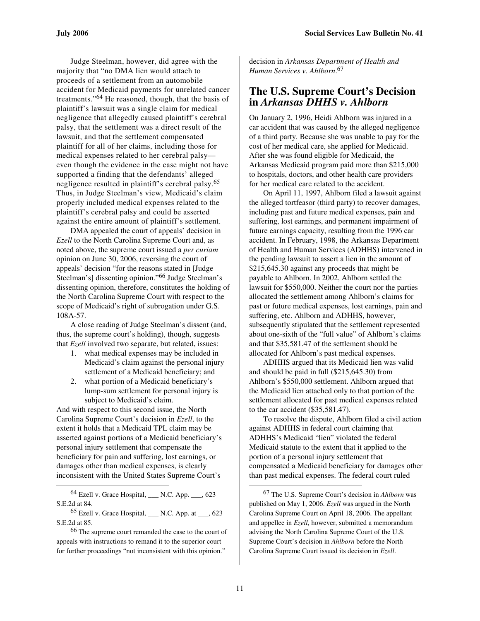Judge Steelman, however, did agree with the majority that "no DMA lien would attach to proceeds of a settlement from an automobile accident for Medicaid payments for unrelated cancer treatments."64 He reasoned, though, that the basis of plaintiff's lawsuit was a single claim for medical negligence that allegedly caused plaintiff's cerebral palsy, that the settlement was a direct result of the lawsuit, and that the settlement compensated plaintiff for all of her claims, including those for medical expenses related to her cerebral palsy even though the evidence in the case might not have supported a finding that the defendants' alleged negligence resulted in plaintiff's cerebral palsy.<sup>65</sup> Thus, in Judge Steelman's view, Medicaid's claim properly included medical expenses related to the plaintiff's cerebral palsy and could be asserted against the entire amount of plaintiff's settlement.

DMA appealed the court of appeals' decision in *Ezell* to the North Carolina Supreme Court and, as noted above, the supreme court issued a *per curiam*  opinion on June 30, 2006, reversing the court of appeals' decision "for the reasons stated in [Judge Steelman's] dissenting opinion."66 Judge Steelman's dissenting opinion, therefore, constitutes the holding of the North Carolina Supreme Court with respect to the scope of Medicaid's right of subrogation under G.S. 108A-57.

A close reading of Judge Steelman's dissent (and, thus, the supreme court's holding), though, suggests that *Ezell* involved two separate, but related, issues:

- 1. what medical expenses may be included in Medicaid's claim against the personal injury settlement of a Medicaid beneficiary; and
- 2. what portion of a Medicaid beneficiary's lump-sum settlement for personal injury is subject to Medicaid's claim.

And with respect to this second issue, the North Carolina Supreme Court's decision in *Ezell*, to the extent it holds that a Medicaid TPL claim may be asserted against portions of a Medicaid beneficiary's personal injury settlement that compensate the beneficiary for pain and suffering, lost earnings, or damages other than medical expenses, is clearly inconsistent with the United States Supreme Court's

 $64$  Ezell v. Grace Hospital,  $\qquad N.C.$  App.  $\qquad$ , 623 S.E.2d at 84.

l

 $65$  Ezell v. Grace Hospital, \_\_\_ N.C. App. at \_\_\_, 623 S.E.2d at 85.

decision in *Arkansas Department of Health and Human Services v. Ahlborn*. 67

# **The U.S. Supreme Court's Decision in** *Arkansas DHHS v. Ahlborn*

On January 2, 1996, Heidi Ahlborn was injured in a car accident that was caused by the alleged negligence of a third party. Because she was unable to pay for the cost of her medical care, she applied for Medicaid. After she was found eligible for Medicaid, the Arkansas Medicaid program paid more than \$215,000 to hospitals, doctors, and other health care providers for her medical care related to the accident.

On April 11, 1997, Ahlborn filed a lawsuit against the alleged tortfeasor (third party) to recover damages, including past and future medical expenses, pain and suffering, lost earnings, and permanent impairment of future earnings capacity, resulting from the 1996 car accident. In February, 1998, the Arkansas Department of Health and Human Services (ADHHS) intervened in the pending lawsuit to assert a lien in the amount of \$215,645.30 against any proceeds that might be payable to Ahlborn. In 2002, Ahlborn settled the lawsuit for \$550,000. Neither the court nor the parties allocated the settlement among Ahlborn's claims for past or future medical expenses, lost earnings, pain and suffering, etc. Ahlborn and ADHHS, however, subsequently stipulated that the settlement represented about one-sixth of the "full value" of Ahlborn's claims and that \$35,581.47 of the settlement should be allocated for Ahlborn's past medical expenses.

ADHHS argued that its Medicaid lien was valid and should be paid in full (\$215,645.30) from Ahlborn's \$550,000 settlement. Ahlborn argued that the Medicaid lien attached only to that portion of the settlement allocated for past medical expenses related to the car accident (\$35,581.47).

To resolve the dispute, Ahlborn filed a civil action against ADHHS in federal court claiming that ADHHS's Medicaid "lien" violated the federal Medicaid statute to the extent that it applied to the portion of a personal injury settlement that compensated a Medicaid beneficiary for damages other than past medical expenses. The federal court ruled

<sup>66</sup> The supreme court remanded the case to the court of appeals with instructions to remand it to the superior court for further proceedings "not inconsistent with this opinion."

<sup>67</sup> The U.S. Supreme Court's decision in *Ahlborn* was published on May 1, 2006. *Ezell* was argued in the North Carolina Supreme Court on April 18, 2006. The appellant and appellee in *Ezell*, however, submitted a memorandum advising the North Carolina Supreme Court of the U.S. Supreme Court's decision in *Ahlborn* before the North Carolina Supreme Court issued its decision in *Ezell*.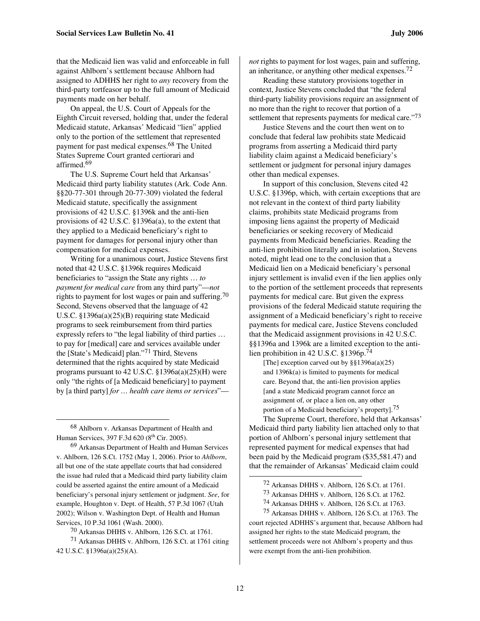that the Medicaid lien was valid and enforceable in full against Ahlborn's settlement because Ahlborn had assigned to ADHHS her right to *any* recovery from the third-party tortfeasor up to the full amount of Medicaid payments made on her behalf.

On appeal, the U.S. Court of Appeals for the Eighth Circuit reversed, holding that, under the federal Medicaid statute, Arkansas' Medicaid "lien" applied only to the portion of the settlement that represented payment for past medical expenses.68 The United States Supreme Court granted certiorari and affirmed.<sup>69</sup>

The U.S. Supreme Court held that Arkansas' Medicaid third party liability statutes (Ark. Code Ann. §§20-77-301 through 20-77-309) violated the federal Medicaid statute, specifically the assignment provisions of 42 U.S.C. §1396k and the anti-lien provisions of 42 U.S.C. §1396a(a), to the extent that they applied to a Medicaid beneficiary's right to payment for damages for personal injury other than compensation for medical expenses.

Writing for a unanimous court, Justice Stevens first noted that 42 U.S.C. §1396k requires Medicaid beneficiaries to "assign the State any rights … *to payment for medical care* from any third party"—*not*  rights to payment for lost wages or pain and suffering.<sup>70</sup> Second, Stevens observed that the language of 42 U.S.C. §1396a(a)(25)(B) requiring state Medicaid programs to seek reimbursement from third parties expressly refers to "the legal liability of third parties … to pay for [medical] care and services available under the [State's Medicaid] plan."71 Third, Stevens determined that the rights acquired by state Medicaid programs pursuant to 42 U.S.C. §1396a(a)(25)(H) were only "the rights of [a Medicaid beneficiary] to payment by [a third party] *for … health care items or services*"—

68 Ahlborn v. Arkansas Department of Health and Human Services, 397 F.3d 620 (8<sup>th</sup> Cir. 2005).

 $\overline{a}$ 

69 Arkansas Department of Health and Human Services v. Ahlborn, 126 S.Ct. 1752 (May 1, 2006). Prior to *Ahlborn*, all but one of the state appellate courts that had considered the issue had ruled that a Medicaid third party liability claim could be asserted against the entire amount of a Medicaid beneficiary's personal injury settlement or judgment. *See*, for example, Houghton v. Dept. of Health, 57 P.3d 1067 (Utah 2002); Wilson v. Washington Dept. of Health and Human Services, 10 P.3d 1061 (Wash. 2000).

*not* rights to payment for lost wages, pain and suffering, an inheritance, or anything other medical expenses.<sup>72</sup>

Reading these statutory provisions together in context, Justice Stevens concluded that "the federal third-party liability provisions require an assignment of no more than the right to recover that portion of a settlement that represents payments for medical care."<sup>73</sup>

Justice Stevens and the court then went on to conclude that federal law prohibits state Medicaid programs from asserting a Medicaid third party liability claim against a Medicaid beneficiary's settlement or judgment for personal injury damages other than medical expenses.

In support of this conclusion, Stevens cited 42 U.S.C. §1396p, which, with certain exceptions that are not relevant in the context of third party liability claims, prohibits state Medicaid programs from imposing liens against the property of Medicaid beneficiaries or seeking recovery of Medicaid payments from Medicaid beneficiaries. Reading the anti-lien prohibition literally and in isolation, Stevens noted, might lead one to the conclusion that a Medicaid lien on a Medicaid beneficiary's personal injury settlement is invalid even if the lien applies only to the portion of the settlement proceeds that represents payments for medical care. But given the express provisions of the federal Medicaid statute requiring the assignment of a Medicaid beneficiary's right to receive payments for medical care, Justice Stevens concluded that the Medicaid assignment provisions in 42 U.S.C. §§1396a and 1396k are a limited exception to the antilien prohibition in 42 U.S.C. §1396p.<sup>74</sup>

[The] exception carved out by §§1396a(a)(25) and 1396k(a) is limited to payments for medical care. Beyond that, the anti-lien provision applies [and a state Medicaid program cannot force an assignment of, or place a lien on, any other portion of a Medicaid beneficiary's property].75

The Supreme Court, therefore, held that Arkansas' Medicaid third party liability lien attached only to that portion of Ahlborn's personal injury settlement that represented payment for medical expenses that had been paid by the Medicaid program (\$35,581.47) and that the remainder of Arkansas' Medicaid claim could

<sup>70</sup> Arkansas DHHS v. Ahlborn, 126 S.Ct. at 1761.

<sup>71</sup> Arkansas DHHS v. Ahlborn, 126 S.Ct. at 1761 citing 42 U.S.C. §1396a(a)(25)(A).

<sup>72</sup> Arkansas DHHS v. Ahlborn, 126 S.Ct. at 1761.

<sup>73</sup> Arkansas DHHS v. Ahlborn, 126 S.Ct. at 1762.

<sup>74</sup> Arkansas DHHS v. Ahlborn, 126 S.Ct. at 1763.

<sup>75</sup> Arkansas DHHS v. Ahlborn, 126 S.Ct. at 1763. The

court rejected ADHHS's argument that, because Ahlborn had assigned her rights to the state Medicaid program, the settlement proceeds were not Ahlborn's property and thus were exempt from the anti-lien prohibition.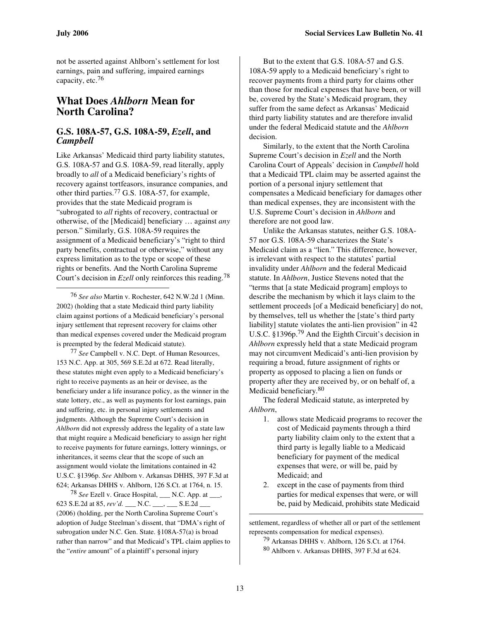l

not be asserted against Ahlborn's settlement for lost earnings, pain and suffering, impaired earnings capacity, etc.<sup>76</sup>

# **What Does** *Ahlborn* **Mean for North Carolina?**

# **G.S. 108A-57, G.S. 108A-59,** *Ezell***, and**  *Campbell*

Like Arkansas' Medicaid third party liability statutes, G.S. 108A-57 and G.S. 108A-59, read literally, apply broadly to *all* of a Medicaid beneficiary's rights of recovery against tortfeasors, insurance companies, and other third parties.77 G.S. 108A-57, for example, provides that the state Medicaid program is "subrogated to *all* rights of recovery, contractual or otherwise, of the [Medicaid] beneficiary … against *any*  person." Similarly, G.S. 108A-59 requires the assignment of a Medicaid beneficiary's "right to third party benefits, contractual or otherwise," without any express limitation as to the type or scope of these rights or benefits. And the North Carolina Supreme Court's decision in *Ezell* only reinforces this reading.<sup>78</sup>

76 *See also* Martin v. Rochester, 642 N.W.2d 1 (Minn. 2002) (holding that a state Medicaid third party liability claim against portions of a Medicaid beneficiary's personal injury settlement that represent recovery for claims other than medical expenses covered under the Medicaid program is preempted by the federal Medicaid statute).

77 *See* Campbell v. N.C. Dept. of Human Resources, 153 N.C. App. at 305, 569 S.E.2d at 672. Read literally, these statutes might even apply to a Medicaid beneficiary's right to receive payments as an heir or devisee, as the beneficiary under a life insurance policy, as the winner in the state lottery, etc., as well as payments for lost earnings, pain and suffering, etc. in personal injury settlements and judgments. Although the Supreme Court's decision in *Ahlborn* did not expressly address the legality of a state law that might require a Medicaid beneficiary to assign her right to receive payments for future earnings, lottery winnings, or inheritances, it seems clear that the scope of such an assignment would violate the limitations contained in 42 U.S.C. §1396p. *See* Ahlborn v. Arkansas DHHS, 397 F.3d at 624; Arkansas DHHS v. Ahlborn, 126 S.Ct. at 1764, n. 15.

 $78$  *See* Ezell v. Grace Hospital, N.C. App. at  $\overline{\phantom{a}}$ , 623 S.E.2d at 85, *rev'd.* \_\_\_ N.C. \_\_\_, \_\_\_ S.E.2d \_\_\_ (2006) (holding, per the North Carolina Supreme Court's adoption of Judge Steelman's dissent, that "DMA's right of subrogation under N.C. Gen. State. §108A-57(a) is broad rather than narrow" and that Medicaid's TPL claim applies to the "*entire* amount" of a plaintiff's personal injury

But to the extent that G.S. 108A-57 and G.S. 108A-59 apply to a Medicaid beneficiary's right to recover payments from a third party for claims other than those for medical expenses that have been, or will be, covered by the State's Medicaid program, they suffer from the same defect as Arkansas' Medicaid third party liability statutes and are therefore invalid under the federal Medicaid statute and the *Ahlborn*  decision.

Similarly, to the extent that the North Carolina Supreme Court's decision in *Ezell* and the North Carolina Court of Appeals' decision in *Campbell* hold that a Medicaid TPL claim may be asserted against the portion of a personal injury settlement that compensates a Medicaid beneficiary for damages other than medical expenses, they are inconsistent with the U.S. Supreme Court's decision in *Ahlborn* and therefore are not good law.

Unlike the Arkansas statutes, neither G.S. 108A-57 nor G.S. 108A-59 characterizes the State's Medicaid claim as a "lien." This difference, however, is irrelevant with respect to the statutes' partial invalidity under *Ahlborn* and the federal Medicaid statute. In *Ahlborn*, Justice Stevens noted that the "terms that [a state Medicaid program] employs to describe the mechanism by which it lays claim to the settlement proceeds [of a Medicaid beneficiary] do not, by themselves, tell us whether the [state's third party liability] statute violates the anti-lien provision" in 42 U.S.C. §1396p.79 And the Eighth Circuit's decision in *Ahlborn* expressly held that a state Medicaid program may not circumvent Medicaid's anti-lien provision by requiring a broad, future assignment of rights or property as opposed to placing a lien on funds or property after they are received by, or on behalf of, a Medicaid beneficiary.<sup>80</sup>

The federal Medicaid statute, as interpreted by *Ahlborn*,

- 1. allows state Medicaid programs to recover the cost of Medicaid payments through a third party liability claim only to the extent that a third party is legally liable to a Medicaid beneficiary for payment of the medical expenses that were, or will be, paid by Medicaid; and
- 2. except in the case of payments from third parties for medical expenses that were, or will be, paid by Medicaid, prohibits state Medicaid

settlement, regardless of whether all or part of the settlement represents compensation for medical expenses).

79 Arkansas DHHS v. Ahlborn, 126 S.Ct. at 1764.

80 Ahlborn v. Arkansas DHHS, 397 F.3d at 624.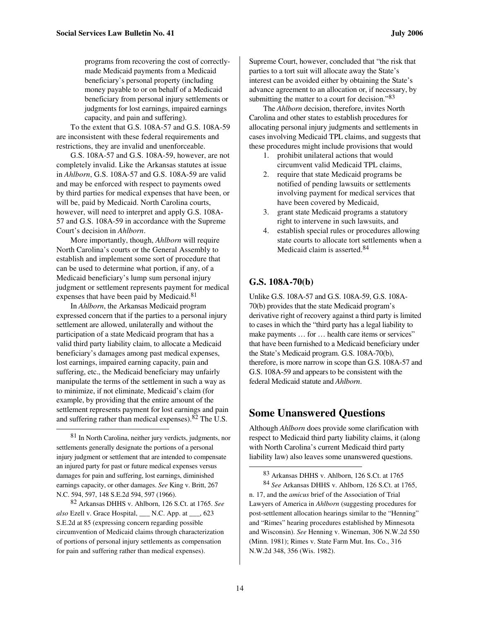programs from recovering the cost of correctlymade Medicaid payments from a Medicaid beneficiary's personal property (including money payable to or on behalf of a Medicaid beneficiary from personal injury settlements or judgments for lost earnings, impaired earnings capacity, and pain and suffering).

To the extent that G.S. 108A-57 and G.S. 108A-59 are inconsistent with these federal requirements and restrictions, they are invalid and unenforceable.

G.S. 108A-57 and G.S. 108A-59, however, are not completely invalid. Like the Arkansas statutes at issue in *Ahlborn*, G.S. 108A-57 and G.S. 108A-59 are valid and may be enforced with respect to payments owed by third parties for medical expenses that have been, or will be, paid by Medicaid. North Carolina courts, however, will need to interpret and apply G.S. 108A-57 and G.S. 108A-59 in accordance with the Supreme Court's decision in *Ahlborn*.

More importantly, though, *Ahlborn* will require North Carolina's courts or the General Assembly to establish and implement some sort of procedure that can be used to determine what portion, if any, of a Medicaid beneficiary's lump sum personal injury judgment or settlement represents payment for medical expenses that have been paid by Medicaid.<sup>81</sup>

In *Ahlborn*, the Arkansas Medicaid program expressed concern that if the parties to a personal injury settlement are allowed, unilaterally and without the participation of a state Medicaid program that has a valid third party liability claim, to allocate a Medicaid beneficiary's damages among past medical expenses, lost earnings, impaired earning capacity, pain and suffering, etc., the Medicaid beneficiary may unfairly manipulate the terms of the settlement in such a way as to minimize, if not eliminate, Medicaid's claim (for example, by providing that the entire amount of the settlement represents payment for lost earnings and pain and suffering rather than medical expenses).82 The U.S.

l

Supreme Court, however, concluded that "the risk that parties to a tort suit will allocate away the State's interest can be avoided either by obtaining the State's advance agreement to an allocation or, if necessary, by submitting the matter to a court for decision."<sup>83</sup>

The *Ahlborn* decision, therefore, invites North Carolina and other states to establish procedures for allocating personal injury judgments and settlements in cases involving Medicaid TPL claims, and suggests that these procedures might include provisions that would

- 1. prohibit unilateral actions that would circumvent valid Medicaid TPL claims,
- 2. require that state Medicaid programs be notified of pending lawsuits or settlements involving payment for medical services that have been covered by Medicaid,
- 3. grant state Medicaid programs a statutory right to intervene in such lawsuits, and
- 4. establish special rules or procedures allowing state courts to allocate tort settlements when a Medicaid claim is asserted.<sup>84</sup>

# **G.S. 108A-70(b)**

Unlike G.S. 108A-57 and G.S. 108A-59, G.S. 108A-70(b) provides that the state Medicaid program's derivative right of recovery against a third party is limited to cases in which the "third party has a legal liability to make payments ... for ... health care items or services" that have been furnished to a Medicaid beneficiary under the State's Medicaid program. G.S. 108A-70(b), therefore, is more narrow in scope than G.S. 108A-57 and G.S. 108A-59 and appears to be consistent with the federal Medicaid statute and *Ahlborn*.

# **Some Unanswered Questions**

Although *Ahlborn* does provide some clarification with respect to Medicaid third party liability claims, it (along with North Carolina's current Medicaid third party liability law) also leaves some unanswered questions.

<sup>81</sup> In North Carolina, neither jury verdicts, judgments, nor settlements generally designate the portions of a personal injury judgment or settlement that are intended to compensate an injured party for past or future medical expenses versus damages for pain and suffering, lost earnings, diminished earnings capacity, or other damages. *See* King v. Britt, 267 N.C. 594, 597, 148 S.E.2d 594, 597 (1966).

<sup>82</sup> Arkansas DHHS v. Ahlborn, 126 S.Ct. at 1765. *See also* Ezell v. Grace Hospital, \_\_\_ N.C. App. at \_\_\_, 623 S.E.2d at 85 (expressing concern regarding possible circumvention of Medicaid claims through characterization of portions of personal injury settlements as compensation for pain and suffering rather than medical expenses).

<sup>83</sup> Arkansas DHHS v. Ahlborn, 126 S.Ct. at 1765

<sup>84</sup> *See* Arkansas DHHS v. Ahlborn, 126 S.Ct. at 1765, n. 17, and the *amicus* brief of the Association of Trial Lawyers of America in *Ahlborn* (suggesting procedures for post-settlement allocation hearings similar to the "Henning" and "Rimes" hearing procedures established by Minnesota and Wisconsin). *See* Henning v. Wineman, 306 N.W.2d 550 (Minn. 1981); Rimes v. State Farm Mut. Ins. Co., 316 N.W.2d 348, 356 (Wis. 1982).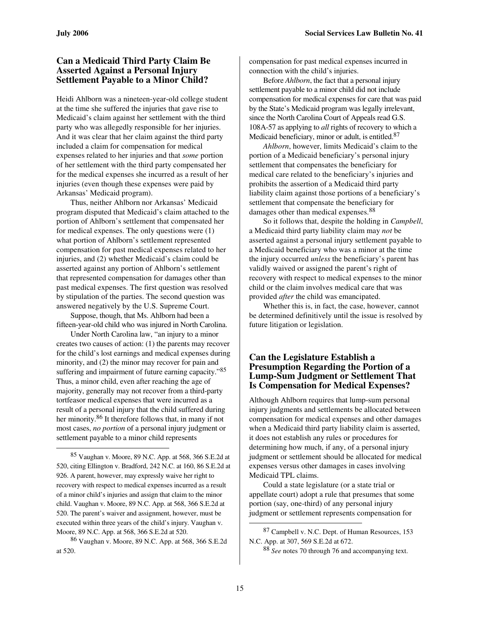# **Can a Medicaid Third Party Claim Be Asserted Against a Personal Injury Settlement Payable to a Minor Child?**

Heidi Ahlborn was a nineteen-year-old college student at the time she suffered the injuries that gave rise to Medicaid's claim against her settlement with the third party who was allegedly responsible for her injuries. And it was clear that her claim against the third party included a claim for compensation for medical expenses related to her injuries and that *some* portion of her settlement with the third party compensated her for the medical expenses she incurred as a result of her injuries (even though these expenses were paid by Arkansas' Medicaid program).

Thus, neither Ahlborn nor Arkansas' Medicaid program disputed that Medicaid's claim attached to the portion of Ahlborn's settlement that compensated her for medical expenses. The only questions were (1) what portion of Ahlborn's settlement represented compensation for past medical expenses related to her injuries, and (2) whether Medicaid's claim could be asserted against any portion of Ahlborn's settlement that represented compensation for damages other than past medical expenses. The first question was resolved by stipulation of the parties. The second question was answered negatively by the U.S. Supreme Court.

Suppose, though, that Ms. Ahlborn had been a fifteen-year-old child who was injured in North Carolina.

Under North Carolina law, "an injury to a minor creates two causes of action: (1) the parents may recover for the child's lost earnings and medical expenses during minority, and (2) the minor may recover for pain and suffering and impairment of future earning capacity."85 Thus, a minor child, even after reaching the age of majority, generally may not recover from a third-party tortfeasor medical expenses that were incurred as a result of a personal injury that the child suffered during her minority.86 It therefore follows that, in many if not most cases, *no portion* of a personal injury judgment or settlement payable to a minor child represents

 $\overline{a}$ 

compensation for past medical expenses incurred in connection with the child's injuries.

Before *Ahlborn*, the fact that a personal injury settlement payable to a minor child did not include compensation for medical expenses for care that was paid by the State's Medicaid program was legally irrelevant, since the North Carolina Court of Appeals read G.S. 108A-57 as applying to *all* rights of recovery to which a Medicaid beneficiary, minor or adult, is entitled.<sup>87</sup>

*Ahlborn*, however, limits Medicaid's claim to the portion of a Medicaid beneficiary's personal injury settlement that compensates the beneficiary for medical care related to the beneficiary's injuries and prohibits the assertion of a Medicaid third party liability claim against those portions of a beneficiary's settlement that compensate the beneficiary for damages other than medical expenses.<sup>88</sup>

So it follows that, despite the holding in *Campbell*, a Medicaid third party liability claim may *not* be asserted against a personal injury settlement payable to a Medicaid beneficiary who was a minor at the time the injury occurred *unless* the beneficiary's parent has validly waived or assigned the parent's right of recovery with respect to medical expenses to the minor child or the claim involves medical care that was provided *after* the child was emancipated.

Whether this is, in fact, the case, however, cannot be determined definitively until the issue is resolved by future litigation or legislation.

### **Can the Legislature Establish a Presumption Regarding the Portion of a Lump-Sum Judgment or Settlement That Is Compensation for Medical Expenses?**

Although Ahlborn requires that lump-sum personal injury judgments and settlements be allocated between compensation for medical expenses and other damages when a Medicaid third party liability claim is asserted, it does not establish any rules or procedures for determining how much, if any, of a personal injury judgment or settlement should be allocated for medical expenses versus other damages in cases involving Medicaid TPL claims.

Could a state legislature (or a state trial or appellate court) adopt a rule that presumes that some portion (say, one-third) of any personal injury judgment or settlement represents compensation for

<sup>85</sup> Vaughan v. Moore, 89 N.C. App. at 568, 366 S.E.2d at 520, citing Ellington v. Bradford, 242 N.C. at 160, 86 S.E.2d at 926. A parent, however, may expressly waive her right to recovery with respect to medical expenses incurred as a result of a minor child's injuries and assign that claim to the minor child. Vaughan v. Moore, 89 N.C. App. at 568, 366 S.E.2d at 520. The parent's waiver and assignment, however, must be executed within three years of the child's injury. Vaughan v. Moore, 89 N.C. App. at 568, 366 S.E.2d at 520.

<sup>86</sup> Vaughan v. Moore, 89 N.C. App. at 568, 366 S.E.2d at 520.

<sup>87</sup> Campbell v. N.C. Dept. of Human Resources, 153 N.C. App. at 307, 569 S.E.2d at 672.

<sup>88</sup> *See* notes 70 through 76 and accompanying text.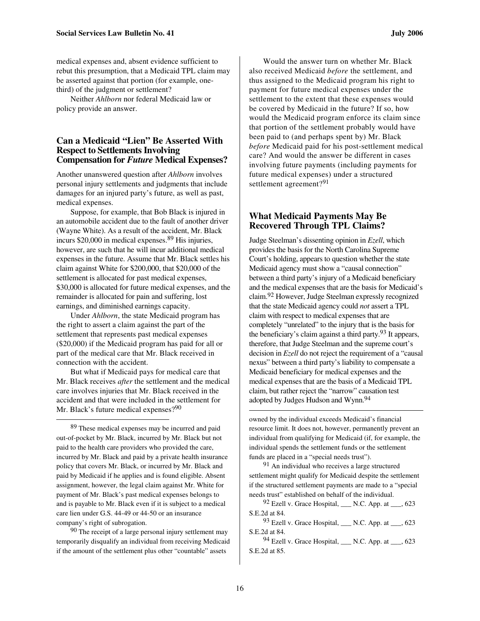medical expenses and, absent evidence sufficient to rebut this presumption, that a Medicaid TPL claim may be asserted against that portion (for example, onethird) of the judgment or settlement?

Neither *Ahlborn* nor federal Medicaid law or policy provide an answer.

### **Can a Medicaid "Lien" Be Asserted With Respect to Settlements Involving Compensation for** *Future* **Medical Expenses?**

Another unanswered question after *Ahlborn* involves personal injury settlements and judgments that include damages for an injured party's future, as well as past, medical expenses.

Suppose, for example, that Bob Black is injured in an automobile accident due to the fault of another driver (Wayne White). As a result of the accident, Mr. Black incurs \$20,000 in medical expenses.<sup>89</sup> His injuries, however, are such that he will incur additional medical expenses in the future. Assume that Mr. Black settles his claim against White for \$200,000, that \$20,000 of the settlement is allocated for past medical expenses, \$30,000 is allocated for future medical expenses, and the remainder is allocated for pain and suffering, lost earnings, and diminished earnings capacity.

Under *Ahlborn*, the state Medicaid program has the right to assert a claim against the part of the settlement that represents past medical expenses (\$20,000) if the Medicaid program has paid for all or part of the medical care that Mr. Black received in connection with the accident.

But what if Medicaid pays for medical care that Mr. Black receives *after* the settlement and the medical care involves injuries that Mr. Black received in the accident and that were included in the settlement for Mr. Black's future medical expenses?<sup>90</sup>

 $\overline{a}$ 

89 These medical expenses may be incurred and paid out-of-pocket by Mr. Black, incurred by Mr. Black but not paid to the health care providers who provided the care, incurred by Mr. Black and paid by a private health insurance policy that covers Mr. Black, or incurred by Mr. Black and paid by Medicaid if he applies and is found eligible. Absent assignment, however, the legal claim against Mr. White for payment of Mr. Black's past medical expenses belongs to and is payable to Mr. Black even if it is subject to a medical care lien under G.S. 44-49 or 44-50 or an insurance company's right of subrogation.

 $90$  The receipt of a large personal injury settlement may temporarily disqualify an individual from receiving Medicaid if the amount of the settlement plus other "countable" assets

Would the answer turn on whether Mr. Black also received Medicaid *before* the settlement, and thus assigned to the Medicaid program his right to payment for future medical expenses under the settlement to the extent that these expenses would be covered by Medicaid in the future? If so, how would the Medicaid program enforce its claim since that portion of the settlement probably would have been paid to (and perhaps spent by) Mr. Black *before* Medicaid paid for his post-settlement medical care? And would the answer be different in cases involving future payments (including payments for future medical expenses) under a structured settlement agreement?<sup>91</sup>

# **What Medicaid Payments May Be Recovered Through TPL Claims?**

Judge Steelman's dissenting opinion in *Ezell*, which provides the basis for the North Carolina Supreme Court's holding, appears to question whether the state Medicaid agency must show a "causal connection" between a third party's injury of a Medicaid beneficiary and the medical expenses that are the basis for Medicaid's claim.92 However, Judge Steelman expressly recognized that the state Medicaid agency could *not* assert a TPL claim with respect to medical expenses that are completely "unrelated" to the injury that is the basis for the beneficiary's claim against a third party. <sup>93</sup> It appears, therefore, that Judge Steelman and the supreme court's decision in *Ezell* do not reject the requirement of a "causal nexus" between a third party's liability to compensate a Medicaid beneficiary for medical expenses and the medical expenses that are the basis of a Medicaid TPL claim, but rather reject the "narrow" causation test adopted by Judges Hudson and Wynn.<sup>94</sup>

owned by the individual exceeds Medicaid's financial resource limit. It does not, however, permanently prevent an individual from qualifying for Medicaid (if, for example, the individual spends the settlement funds or the settlement funds are placed in a "special needs trust").

<sup>91</sup> An individual who receives a large structured settlement might qualify for Medicaid despite the settlement if the structured settlement payments are made to a "special needs trust" established on behalf of the individual.

 $92$  Ezell v. Grace Hospital, N.C. App. at  $\qquad$ , 623 S.E.2d at 84.

 $93$  Ezell v. Grace Hospital, \_\_\_ N.C. App. at \_\_\_, 623 S.E.2d at 84.

 $94$  Ezell v. Grace Hospital, N.C. App. at \_\_\_, 623 S.E.2d at 85.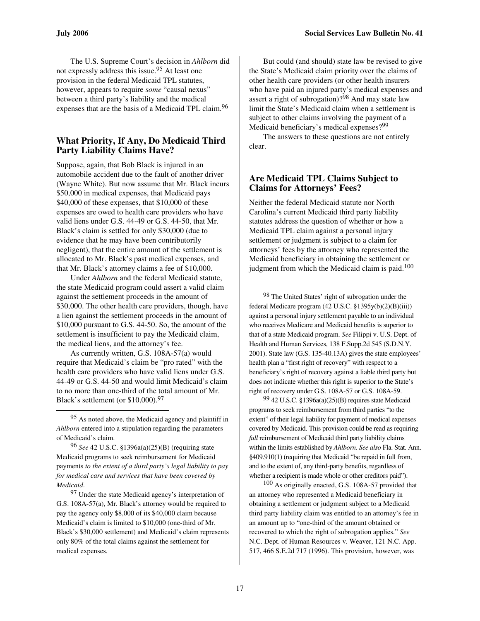The U.S. Supreme Court's decision in *Ahlborn* did not expressly address this issue.95 At least one provision in the federal Medicaid TPL statutes, however, appears to require *some* "causal nexus" between a third party's liability and the medical expenses that are the basis of a Medicaid TPL claim.<sup>96</sup>

# **What Priority, If Any, Do Medicaid Third Party Liability Claims Have?**

Suppose, again, that Bob Black is injured in an automobile accident due to the fault of another driver (Wayne White). But now assume that Mr. Black incurs \$50,000 in medical expenses, that Medicaid pays \$40,000 of these expenses, that \$10,000 of these expenses are owed to health care providers who have valid liens under G.S. 44-49 or G.S. 44-50, that Mr. Black's claim is settled for only \$30,000 (due to evidence that he may have been contributorily negligent), that the entire amount of the settlement is allocated to Mr. Black's past medical expenses, and that Mr. Black's attorney claims a fee of \$10,000.

Under *Ahlborn* and the federal Medicaid statute, the state Medicaid program could assert a valid claim against the settlement proceeds in the amount of \$30,000. The other health care providers, though, have a lien against the settlement proceeds in the amount of \$10,000 pursuant to G.S. 44-50. So, the amount of the settlement is insufficient to pay the Medicaid claim, the medical liens, and the attorney's fee.

As currently written, G.S. 108A-57(a) would require that Medicaid's claim be "pro rated" with the health care providers who have valid liens under G.S. 44-49 or G.S. 44-50 and would limit Medicaid's claim to no more than one-third of the total amount of Mr. Black's settlement (or \$10,000).<sup>97</sup>

 $\overline{a}$ 

96 *See* 42 U.S.C. §1396a(a)(25)(B) (requiring state Medicaid programs to seek reimbursement for Medicaid payments *to the extent of a third party's legal liability to pay for medical care and services that have been covered by Medicaid*.

<sup>97</sup> Under the state Medicaid agency's interpretation of G.S. 108A-57(a), Mr. Black's attorney would be required to pay the agency only \$8,000 of its \$40,000 claim because Medicaid's claim is limited to \$10,000 (one-third of Mr. Black's \$30,000 settlement) and Medicaid's claim represents only 80% of the total claims against the settlement for medical expenses.

But could (and should) state law be revised to give the State's Medicaid claim priority over the claims of other health care providers (or other health insurers who have paid an injured party's medical expenses and assert a right of subrogation)?98 And may state law limit the State's Medicaid claim when a settlement is subject to other claims involving the payment of a Medicaid beneficiary's medical expenses?<sup>99</sup>

The answers to these questions are not entirely clear.

# **Are Medicaid TPL Claims Subject to Claims for Attorneys' Fees?**

Neither the federal Medicaid statute nor North Carolina's current Medicaid third party liability statutes address the question of whether or how a Medicaid TPL claim against a personal injury settlement or judgment is subject to a claim for attorneys' fees by the attorney who represented the Medicaid beneficiary in obtaining the settlement or judgment from which the Medicaid claim is paid.<sup>100</sup>

98 The United States' right of subrogation under the federal Medicare program (42 U.S.C. §1395y(b)(2)(B)(iii)) against a personal injury settlement payable to an individual who receives Medicare and Medicaid benefits is superior to that of a state Medicaid program. *See* Filippi v. U.S. Dept. of Health and Human Services, 138 F.Supp.2d 545 (S.D.N.Y. 2001). State law (G.S. 135-40.13A) gives the state employees' health plan a "first right of recovery" with respect to a beneficiary's right of recovery against a liable third party but does not indicate whether this right is superior to the State's right of recovery under G.S. 108A-57 or G.S. 108A-59.

99 42 U.S.C. §1396a(a)(25)(B) requires state Medicaid programs to seek reimbursement from third parties "to the extent" of their legal liability for payment of medical expenses covered by Medicaid. This provision could be read as requiring *full* reimbursement of Medicaid third party liability claims within the limits established by *Ahlborn*. *See also* Fla. Stat. Ann. §409.910(1) (requiring that Medicaid "be repaid in full from, and to the extent of, any third-party benefits, regardless of whether a recipient is made whole or other creditors paid").

 $100$  As originally enacted, G.S. 108A-57 provided that an attorney who represented a Medicaid beneficiary in obtaining a settlement or judgment subject to a Medicaid third party liability claim was entitled to an attorney's fee in an amount up to "one-third of the amount obtained or recovered to which the right of subrogation applies." *See*  N.C. Dept. of Human Resources v. Weaver, 121 N.C. App. 517, 466 S.E.2d 717 (1996). This provision, however, was

<sup>95</sup> As noted above, the Medicaid agency and plaintiff in *Ahlborn* entered into a stipulation regarding the parameters of Medicaid's claim.